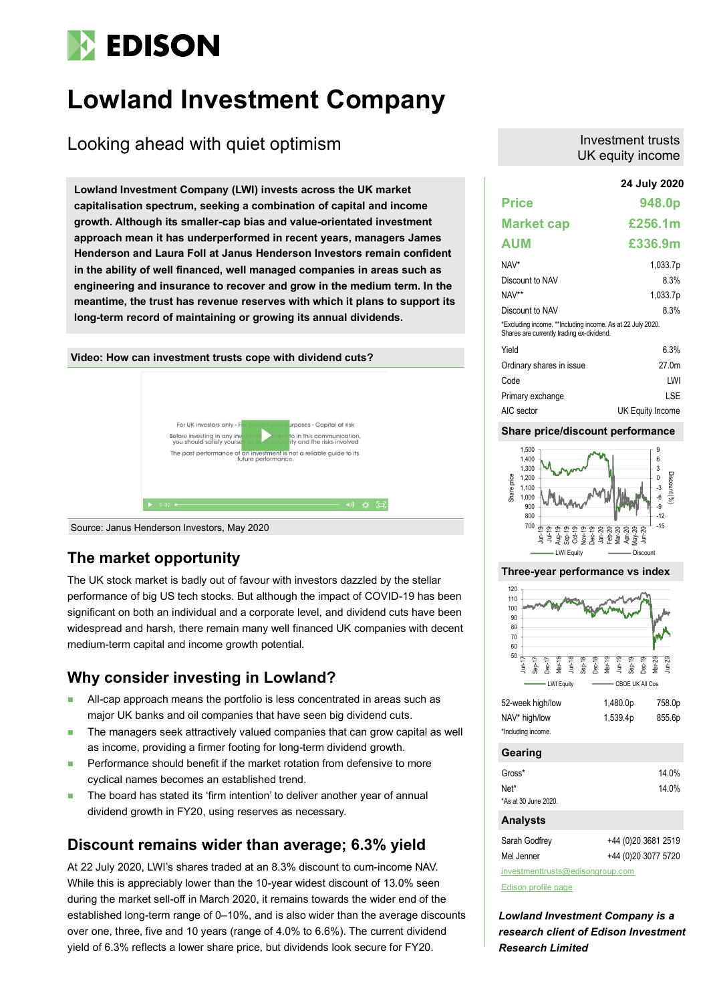# **EDISON**

## **Lowland Investment Company**

## Looking ahead with quiet optimism

**24 July 2020 Lowland Investment Company (LWI) invests across the UK market capitalisation spectrum, seeking a combination of capital and income growth. Although its smaller-cap bias and value-orientated investment approach mean it has underperformed in recent years, managers James Henderson and Laura Foll at Janus Henderson Investors remain confident in the ability of well financed, well managed companies in areas such as engineering and insurance to recover and grow in the medium term. In the meantime, the trust has revenue reserves with which it plans to support its long-term record of maintaining or growing its annual dividends.**



Source: Janus Henderson Investors, May 2020

### **The market opportunity**

The UK stock market is badly out of favour with investors dazzled by the stellar performance of big US tech stocks. But although the impact of COVID-19 has been significant on both an individual and a corporate level, and dividend cuts have been widespread and harsh, there remain many well financed UK companies with decent medium-term capital and income growth potential.

### **Why consider investing in Lowland?**

- All-cap approach means the portfolio is less concentrated in areas such as major UK banks and oil companies that have seen big dividend cuts.
- The managers seek attractively valued companies that can grow capital as well as income, providing a firmer footing for long-term dividend growth.
- Performance should benefit if the market rotation from defensive to more cyclical names becomes an established trend.
- The board has stated its 'firm intention' to deliver another year of annual dividend growth in FY20, using reserves as necessary.

### **Discount remains wider than average; 6.3% yield**

At 22 July 2020, LWI's shares traded at an 8.3% discount to cum-income NAV. While this is appreciably lower than the 10-year widest discount of 13.0% seen during the market sell-off in March 2020, it remains towards the wider end of the established long-term range of 0–10%, and is also wider than the average discounts over one, three, five and 10 years (range of 4.0% to 6.6%). The current dividend yield of 6.3% reflects a lower share price, but dividends look secure for FY20.

#### Investment trusts UK equity income

|                                                                                                         | 24 July 2020      |
|---------------------------------------------------------------------------------------------------------|-------------------|
| <b>Price</b>                                                                                            | 948.0p            |
| <b>Market cap</b>                                                                                       | £256.1m           |
| <b>AUM</b>                                                                                              | £336.9m           |
| NAV*                                                                                                    | 1,033.7p          |
| Discount to NAV                                                                                         | 8.3%              |
| NAV**                                                                                                   | 1,033.7p          |
| Discount to NAV                                                                                         | 8.3%              |
| *Excluding income. **Including income. As at 22 July 2020.<br>Shares are currently trading ex-dividend. |                   |
| Yield                                                                                                   | 6.3%              |
| Ordinary shares in issue                                                                                | 27.0 <sub>m</sub> |
| Code                                                                                                    | LWI               |
| Primary exchange                                                                                        | I SF              |
| AIC sector                                                                                              | UK Equity Income  |

#### **Share price/discount performance**



#### **Three-year performance vs index**



| <b>Gearing</b> |  |
|----------------|--|
|                |  |

| Gross*               | 14.0% |
|----------------------|-------|
| Net*                 | 14.0% |
| *As at 30 June 2020. |       |

#### **Analysts**

| Sarah Godfrey                    | +44 (0) 20 3681 2519 |  |  |  |  |  |  |
|----------------------------------|----------------------|--|--|--|--|--|--|
| Mel Jenner                       | +44 (0) 20 3077 5720 |  |  |  |  |  |  |
| investmenttrusts@edisongroup.com |                      |  |  |  |  |  |  |

[Edison profile page](https://www.edisongroup.com/company/lowland-investment-company/2336/)

*Lowland Investment Company is a research client of Edison Investment Research Limited*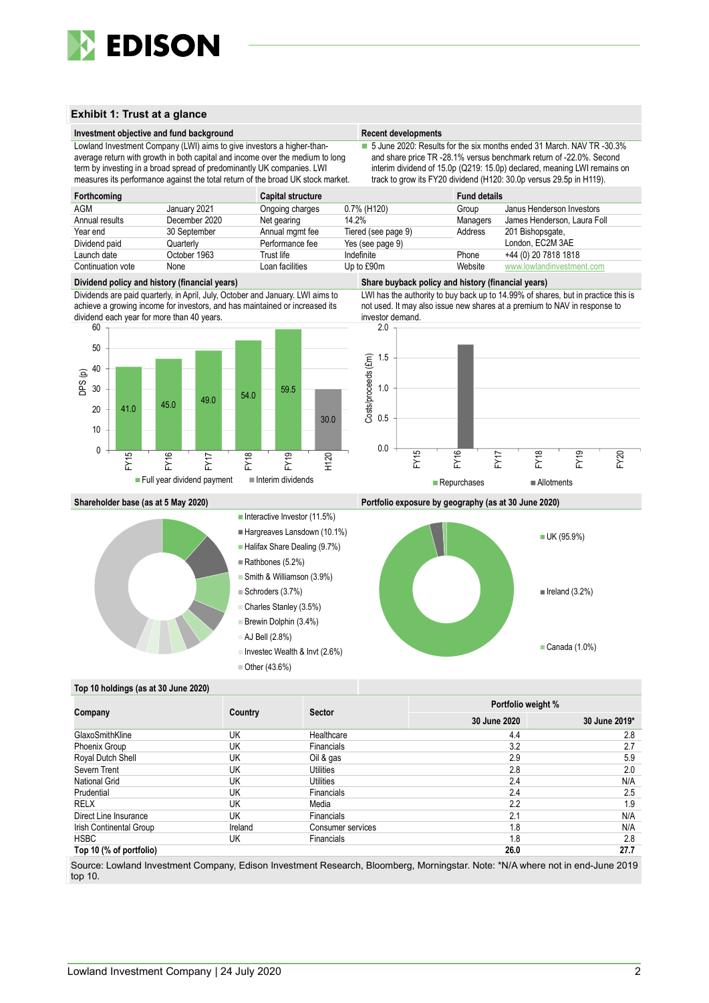

#### **Exhibit 1: Trust at a glance**

#### **Investment objective and fund background Recent developments Recent developments**

Lowland Investment Company (LWI) aims to give investors a higher-thanaverage return with growth in both capital and income over the medium to long term by investing in a broad spread of predominantly UK companies. LWI measures its performance against the total return of the broad UK stock market.

■ 5 June 2020: Results for the six months ended 31 March. NAV TR -30.3% and share price TR -28.1% versus benchmark return of -22.0%. Second interim dividend of 15.0p (Q219: 15.0p) declared, meaning LWI remains on track to grow its FY20 dividend (H120: 30.0p versus 29.5p in H119).

| Forthcoming       |               | <b>Capital structure</b> |                     | <b>Fund details</b> |                             |
|-------------------|---------------|--------------------------|---------------------|---------------------|-----------------------------|
| AGM               | January 2021  | Ongoing charges          | 0.7% (H120)         | Group               | Janus Henderson Investors   |
| Annual results    | December 2020 | Net gearing              | 14.2%               | Managers            | James Henderson, Laura Foll |
| Year end          | 30 September  | Annual mgmt fee          | Tiered (see page 9) | Address             | 201 Bishopsgate,            |
| Dividend paid     | Quarterly     | Performance fee          | Yes (see page 9)    |                     | London, EC2M 3AE            |
| Launch date       | October 1963  | Trust life               | Indefinite          | Phone               | +44 (0) 20 7818 1818        |
| Continuation vote | None          | Loan facilities          | Up to £90m          | Website             | www.lowlandinvestment.com   |

Dividends are paid quarterly, in April, July, October and January. LWI aims to achieve a growing income for investors, and has maintained or increased its dividend each year for more than 40 years.



#### **Dividend policy and history (financial years) Share buyback policy and history (financial years)**

LWI has the authority to buy back up to 14.99% of shares, but in practice this is not used. It may also issue new shares at a premium to NAV in response to investor demand.



#### **Shareholder base (as at 5 May 2020) Portfolio exposure by geography (as at 30 June 2020)**



#### Interactive Investor  $(11.5%)$

- Hargreaves Lansdown (10.1%)
- Halifax Share Dealing (9.7%)
- Rathbones (5.2%)
- Smith & Williamson (3.9%)
- $\equiv$  Schroders (3.7%)
- Charles Stanley (3.5%) Brewin Dolphin (3.4%)
- 
- AJ Bell (2.8%)
- Investec Wealth & Invt (2.6%)

Other (43.6%)



#### **Top 10 holdings (as at 30 June 2020)**

|                         |         |                   | Portfolio weight % |               |  |  |
|-------------------------|---------|-------------------|--------------------|---------------|--|--|
| Company                 | Country | <b>Sector</b>     | 30 June 2020       | 30 June 2019* |  |  |
| GlaxoSmithKline         | UK      | Healthcare        | 4.4                | 2.8           |  |  |
| Phoenix Group           | UK      | <b>Financials</b> | 3.2                | 2.7           |  |  |
| Royal Dutch Shell       | UK      | Oil & gas         | 2.9                | 5.9           |  |  |
| Severn Trent            | UK      | Utilities         | 2.8                | 2.0           |  |  |
| <b>National Grid</b>    | UK      | Utilities         | 2.4                | N/A           |  |  |
| Prudential              | UK      | Financials        | 2.4                | 2.5           |  |  |
| <b>RELX</b>             | UK      | Media             | 2.2                | 1.9           |  |  |
| Direct Line Insurance   | UK      | Financials        | 2.1                | N/A           |  |  |
| Irish Continental Group | Ireland | Consumer services | 1.8                | N/A           |  |  |
| <b>HSBC</b>             | UK      | <b>Financials</b> | 1.8                | 2.8           |  |  |
| Top 10 (% of portfolio) |         |                   | 26.0               | 27.7          |  |  |

Source: Lowland Investment Company, Edison Investment Research, Bloomberg, Morningstar. Note: \*N/A where not in end-June 2019 top 10.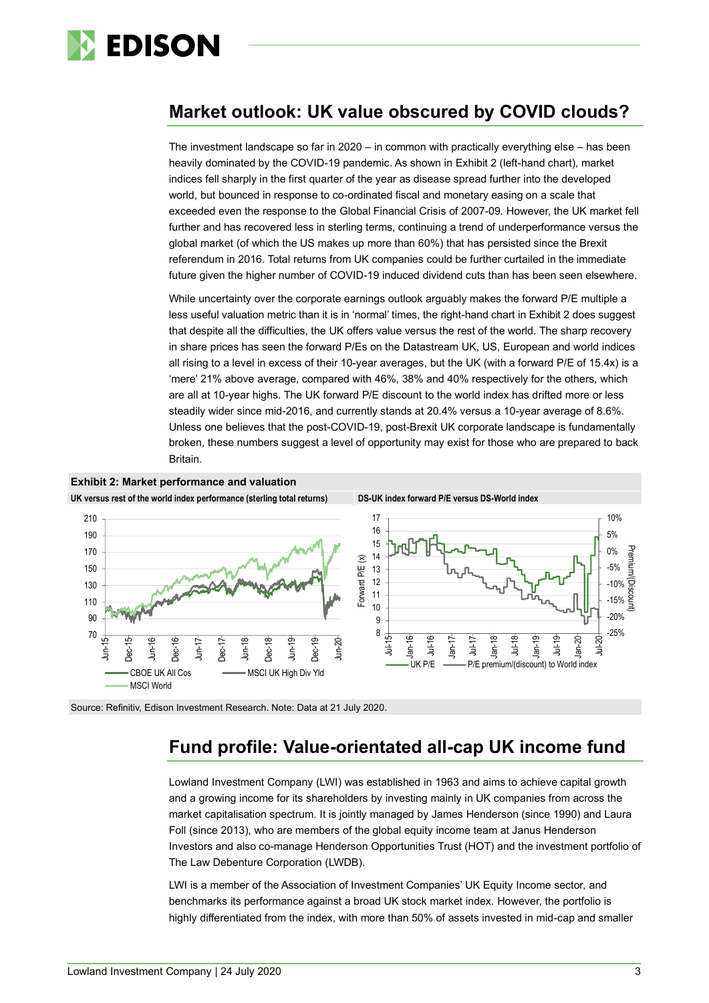

### **Market outlook: UK value obscured by COVID clouds?**

The investment landscape so far in 2020 – in common with practically everything else – has been heavily dominated by the COVID-19 pandemic. As shown in Exhibit 2 (left-hand chart), market indices fell sharply in the first quarter of the year as disease spread further into the developed world, but bounced in response to co-ordinated fiscal and monetary easing on a scale that exceeded even the response to the Global Financial Crisis of 2007-09. However, the UK market fell further and has recovered less in sterling terms, continuing a trend of underperformance versus the global market (of which the US makes up more than 60%) that has persisted since the Brexit referendum in 2016. Total returns from UK companies could be further curtailed in the immediate future given the higher number of COVID-19 induced dividend cuts than has been seen elsewhere.

While uncertainty over the corporate earnings outlook arguably makes the forward P/E multiple a less useful valuation metric than it is in 'normal' times, the right-hand chart in Exhibit 2 does suggest that despite all the difficulties, the UK offers value versus the rest of the world. The sharp recovery in share prices has seen the forward P/Es on the Datastream UK, US, European and world indices all rising to a level in excess of their 10-year averages, but the UK (with a forward P/E of 15.4x) is a 'mere' 21% above average, compared with 46%, 38% and 40% respectively for the others, which are all at 10-year highs. The UK forward P/E discount to the world index has drifted more or less steadily wider since mid-2016, and currently stands at 20.4% versus a 10-year average of 8.6%. Unless one believes that the post-COVID-19, post-Brexit UK corporate landscape is fundamentally broken, these numbers suggest a level of opportunity may exist for those who are prepared to back Britain.



Source: Refinitiv, Edison Investment Research. Note: Data at 21 July 2020.

### **Fund profile: Value-orientated all-cap UK income fund**

Lowland Investment Company (LWI) was established in 1963 and aims to achieve capital growth and a growing income for its shareholders by investing mainly in UK companies from across the market capitalisation spectrum. It is jointly managed by James Henderson (since 1990) and Laura Foll (since 2013), who are members of the global equity income team at Janus Henderson Investors and also co-manage Henderson Opportunities Trust (HOT) and the investment portfolio of The Law Debenture Corporation (LWDB).

LWI is a member of the Association of Investment Companies' UK Equity Income sector, and benchmarks its performance against a broad UK stock market index. However, the portfolio is highly differentiated from the index, with more than 50% of assets invested in mid-cap and smaller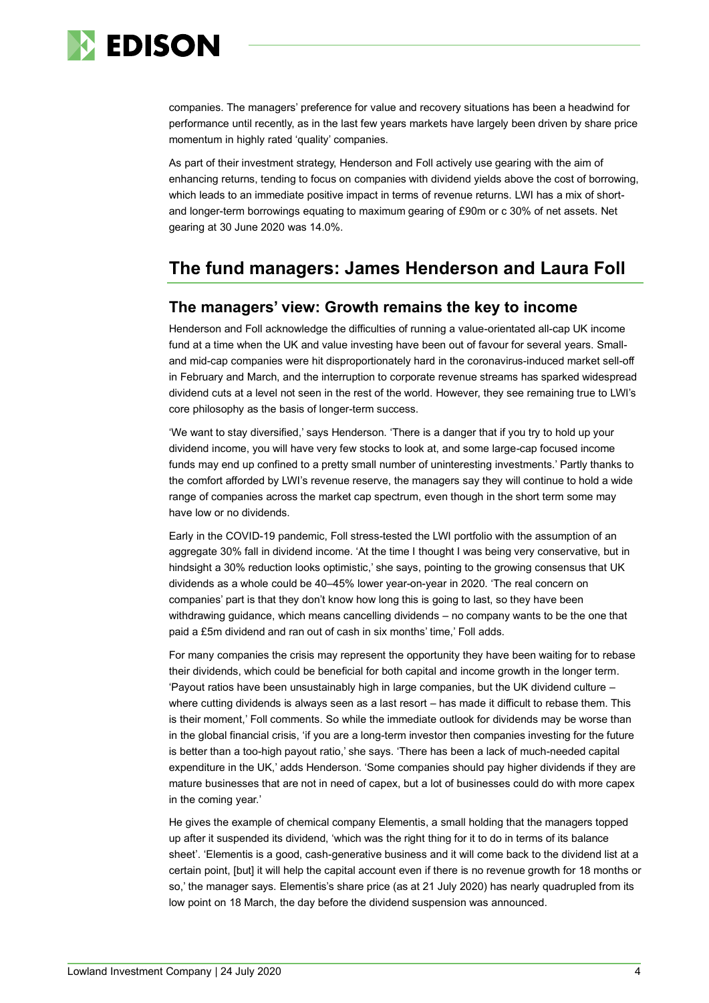

companies. The managers' preference for value and recovery situations has been a headwind for performance until recently, as in the last few years markets have largely been driven by share price momentum in highly rated 'quality' companies.

As part of their investment strategy, Henderson and Foll actively use gearing with the aim of enhancing returns, tending to focus on companies with dividend yields above the cost of borrowing, which leads to an immediate positive impact in terms of revenue returns. LWI has a mix of shortand longer-term borrowings equating to maximum gearing of £90m or c 30% of net assets. Net gearing at 30 June 2020 was 14.0%.

### **The fund managers: James Henderson and Laura Foll**

### **The managers' view: Growth remains the key to income**

Henderson and Foll acknowledge the difficulties of running a value-orientated all-cap UK income fund at a time when the UK and value investing have been out of favour for several years. Smalland mid-cap companies were hit disproportionately hard in the coronavirus-induced market sell-off in February and March, and the interruption to corporate revenue streams has sparked widespread dividend cuts at a level not seen in the rest of the world. However, they see remaining true to LWI's core philosophy as the basis of longer-term success.

'We want to stay diversified,' says Henderson. 'There is a danger that if you try to hold up your dividend income, you will have very few stocks to look at, and some large-cap focused income funds may end up confined to a pretty small number of uninteresting investments.' Partly thanks to the comfort afforded by LWI's revenue reserve, the managers say they will continue to hold a wide range of companies across the market cap spectrum, even though in the short term some may have low or no dividends.

Early in the COVID-19 pandemic, Foll stress-tested the LWI portfolio with the assumption of an aggregate 30% fall in dividend income. 'At the time I thought I was being very conservative, but in hindsight a 30% reduction looks optimistic,' she says, pointing to the growing consensus that UK dividends as a whole could be 40–45% lower year-on-year in 2020. 'The real concern on companies' part is that they don't know how long this is going to last, so they have been withdrawing guidance, which means cancelling dividends – no company wants to be the one that paid a £5m dividend and ran out of cash in six months' time,' Foll adds.

For many companies the crisis may represent the opportunity they have been waiting for to rebase their dividends, which could be beneficial for both capital and income growth in the longer term. 'Payout ratios have been unsustainably high in large companies, but the UK dividend culture – where cutting dividends is always seen as a last resort – has made it difficult to rebase them. This is their moment,' Foll comments. So while the immediate outlook for dividends may be worse than in the global financial crisis, 'if you are a long-term investor then companies investing for the future is better than a too-high payout ratio,' she says. 'There has been a lack of much-needed capital expenditure in the UK,' adds Henderson. 'Some companies should pay higher dividends if they are mature businesses that are not in need of capex, but a lot of businesses could do with more capex in the coming year.'

He gives the example of chemical company Elementis, a small holding that the managers topped up after it suspended its dividend, 'which was the right thing for it to do in terms of its balance sheet'. 'Elementis is a good, cash-generative business and it will come back to the dividend list at a certain point, [but] it will help the capital account even if there is no revenue growth for 18 months or so,' the manager says. Elementis's share price (as at 21 July 2020) has nearly quadrupled from its low point on 18 March, the day before the dividend suspension was announced.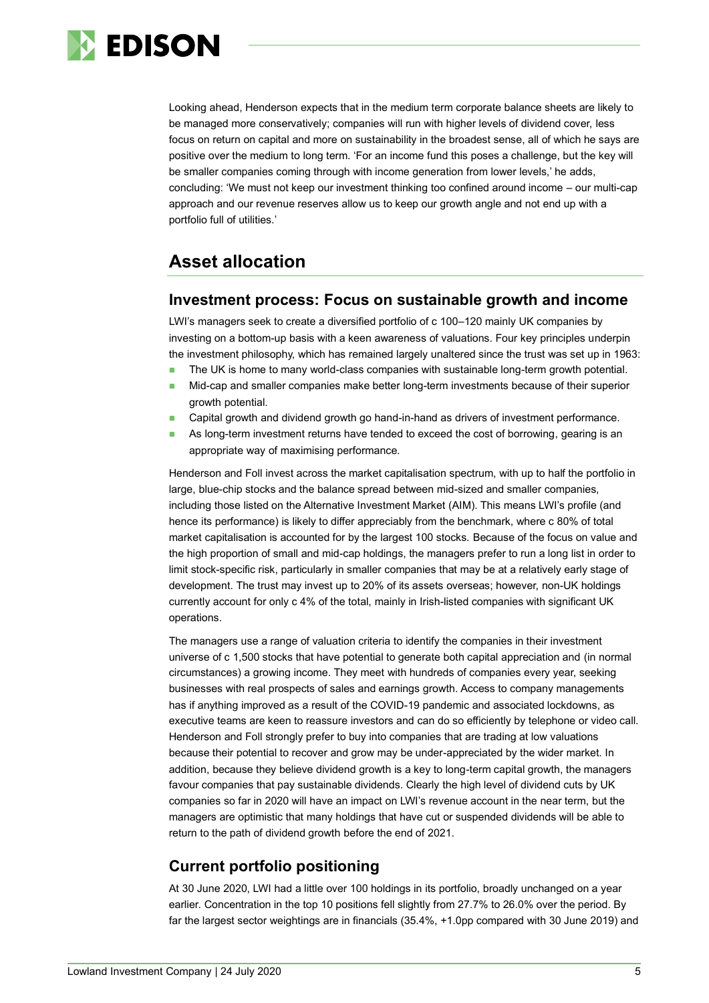

Looking ahead, Henderson expects that in the medium term corporate balance sheets are likely to be managed more conservatively; companies will run with higher levels of dividend cover, less focus on return on capital and more on sustainability in the broadest sense, all of which he says are positive over the medium to long term. 'For an income fund this poses a challenge, but the key will be smaller companies coming through with income generation from lower levels,' he adds, concluding: 'We must not keep our investment thinking too confined around income – our multi-cap approach and our revenue reserves allow us to keep our growth angle and not end up with a portfolio full of utilities.'

## **Asset allocation**

#### **Investment process: Focus on sustainable growth and income**

LWI's managers seek to create a diversified portfolio of c 100–120 mainly UK companies by investing on a bottom-up basis with a keen awareness of valuations. Four key principles underpin the investment philosophy, which has remained largely unaltered since the trust was set up in 1963:

- The UK is home to many world-class companies with sustainable long-term growth potential.
- Mid-cap and smaller companies make better long-term investments because of their superior growth potential.
- Capital growth and dividend growth go hand-in-hand as drivers of investment performance.
- As long-term investment returns have tended to exceed the cost of borrowing, gearing is an appropriate way of maximising performance.

Henderson and Foll invest across the market capitalisation spectrum, with up to half the portfolio in large, blue-chip stocks and the balance spread between mid-sized and smaller companies, including those listed on the Alternative Investment Market (AIM). This means LWI's profile (and hence its performance) is likely to differ appreciably from the benchmark, where c 80% of total market capitalisation is accounted for by the largest 100 stocks. Because of the focus on value and the high proportion of small and mid-cap holdings, the managers prefer to run a long list in order to limit stock-specific risk, particularly in smaller companies that may be at a relatively early stage of development. The trust may invest up to 20% of its assets overseas; however, non-UK holdings currently account for only c 4% of the total, mainly in Irish-listed companies with significant UK operations.

The managers use a range of valuation criteria to identify the companies in their investment universe of c 1,500 stocks that have potential to generate both capital appreciation and (in normal circumstances) a growing income. They meet with hundreds of companies every year, seeking businesses with real prospects of sales and earnings growth. Access to company managements has if anything improved as a result of the COVID-19 pandemic and associated lockdowns, as executive teams are keen to reassure investors and can do so efficiently by telephone or video call. Henderson and Foll strongly prefer to buy into companies that are trading at low valuations because their potential to recover and grow may be under-appreciated by the wider market. In addition, because they believe dividend growth is a key to long-term capital growth, the managers favour companies that pay sustainable dividends. Clearly the high level of dividend cuts by UK companies so far in 2020 will have an impact on LWI's revenue account in the near term, but the managers are optimistic that many holdings that have cut or suspended dividends will be able to return to the path of dividend growth before the end of 2021.

### **Current portfolio positioning**

At 30 June 2020, LWI had a little over 100 holdings in its portfolio, broadly unchanged on a year earlier. Concentration in the top 10 positions fell slightly from 27.7% to 26.0% over the period. By far the largest sector weightings are in financials (35.4%, +1.0pp compared with 30 June 2019) and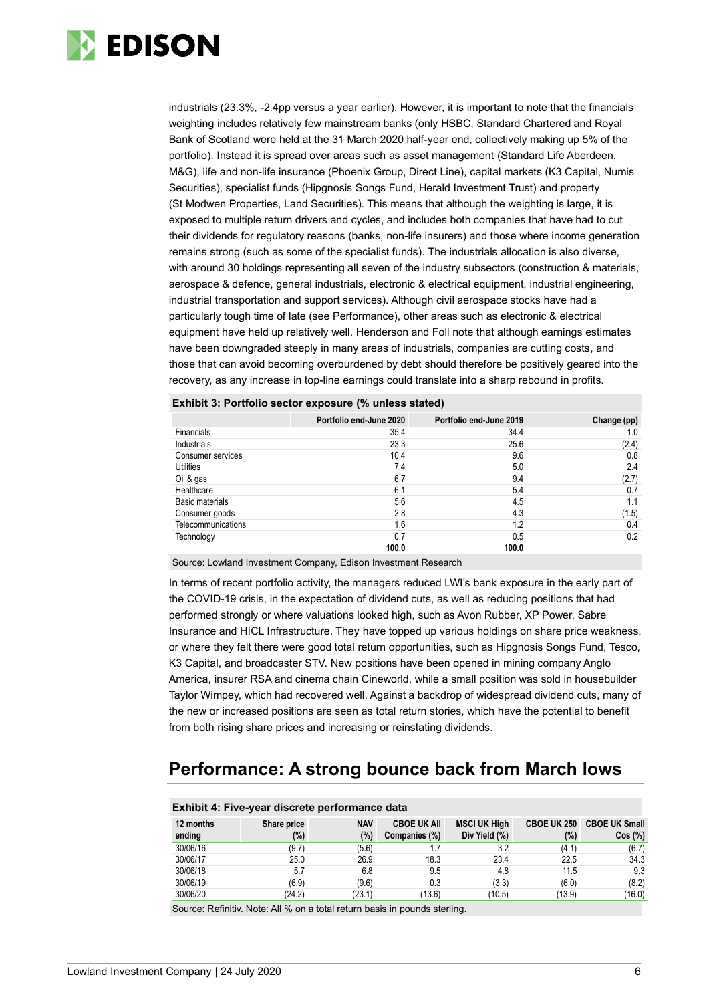

industrials (23.3%, -2.4pp versus a year earlier). However, it is important to note that the financials weighting includes relatively few mainstream banks (only HSBC, Standard Chartered and Royal Bank of Scotland were held at the 31 March 2020 half-year end, collectively making up 5% of the portfolio). Instead it is spread over areas such as asset management (Standard Life Aberdeen, M&G), life and non-life insurance (Phoenix Group, Direct Line), capital markets (K3 Capital, Numis Securities), specialist funds (Hipgnosis Songs Fund, Herald Investment Trust) and property (St Modwen Properties, Land Securities). This means that although the weighting is large, it is exposed to multiple return drivers and cycles, and includes both companies that have had to cut their dividends for regulatory reasons (banks, non-life insurers) and those where income generation remains strong (such as some of the specialist funds). The industrials allocation is also diverse, with around 30 holdings representing all seven of the industry subsectors (construction & materials, aerospace & defence, general industrials, electronic & electrical equipment, industrial engineering, industrial transportation and support services). Although civil aerospace stocks have had a particularly tough time of late (see Performance), other areas such as electronic & electrical equipment have held up relatively well. Henderson and Foll note that although earnings estimates have been downgraded steeply in many areas of industrials, companies are cutting costs, and those that can avoid becoming overburdened by debt should therefore be positively geared into the recovery, as any increase in top-line earnings could translate into a sharp rebound in profits.

|                    | Portfolio end-June 2020 | Portfolio end-June 2019 | Change (pp) |
|--------------------|-------------------------|-------------------------|-------------|
| <b>Financials</b>  | 35.4                    | 34.4                    | 1.0         |
| Industrials        | 23.3                    | 25.6                    | (2.4)       |
| Consumer services  | 10.4                    | 9.6                     | 0.8         |
| Utilities          | 7.4                     | 5.0                     | 2.4         |
| Oil & gas          | 6.7                     | 9.4                     | (2.7)       |
| Healthcare         | 6.1                     | 5.4                     | 0.7         |
| Basic materials    | 5.6                     | 4.5                     | 1.1         |
| Consumer goods     | 2.8                     | 4.3                     | (1.5)       |
| Telecommunications | 1.6                     | 1.2                     | 0.4         |
| Technology         | 0.7                     | 0.5                     | 0.2         |
|                    | 100.0                   | 100.0                   |             |

| Exhibit 3: Portfolio sector exposure (% unless stated) |  |
|--------------------------------------------------------|--|
|                                                        |  |

Source: Lowland Investment Company, Edison Investment Research

In terms of recent portfolio activity, the managers reduced LWI's bank exposure in the early part of the COVID-19 crisis, in the expectation of dividend cuts, as well as reducing positions that had performed strongly or where valuations looked high, such as Avon Rubber, XP Power, Sabre Insurance and HICL Infrastructure. They have topped up various holdings on share price weakness, or where they felt there were good total return opportunities, such as Hipgnosis Songs Fund, Tesco, K3 Capital, and broadcaster STV. New positions have been opened in mining company Anglo America, insurer RSA and cinema chain Cineworld, while a small position was sold in housebuilder Taylor Wimpey, which had recovered well. Against a backdrop of widespread dividend cuts, many of the new or increased positions are seen as total return stories, which have the potential to benefit from both rising share prices and increasing or reinstating dividends.

### **Performance: A strong bounce back from March lows**

| Exhibit 4: Five-year discrete performance data |                       |                   |                                     |                                      |                           |                                |  |  |  |
|------------------------------------------------|-----------------------|-------------------|-------------------------------------|--------------------------------------|---------------------------|--------------------------------|--|--|--|
| 12 months<br>ending                            | Share price<br>$(\%)$ | <b>NAV</b><br>(%) | <b>CBOE UK AII</b><br>Companies (%) | <b>MSCI UK High</b><br>Div Yield (%) | <b>CBOE UK 250</b><br>(%) | <b>CBOE UK Small</b><br>Cos(%) |  |  |  |
| 30/06/16                                       | (9.7)                 | (5.6)             |                                     | 3.2                                  | (4.1)                     | (6.7)                          |  |  |  |
| 30/06/17                                       | 25.0                  | 26.9              | 18.3                                | 23.4                                 | 22.5                      | 34.3                           |  |  |  |
| 30/06/18                                       | 5.7                   | 6.8               | 9.5                                 | 4.8                                  | 11.5                      | 9.3                            |  |  |  |
| 30/06/19                                       | (6.9)                 | (9.6)             | 0.3                                 | (3.3)                                | (6.0)                     | (8.2)                          |  |  |  |
| 30/06/20                                       | (24.2)                | (23.1)            | (13.6)                              | (10.5)                               | (13.9)                    | (16.0)                         |  |  |  |

Source: Refinitiv. Note: All % on a total return basis in pounds sterling.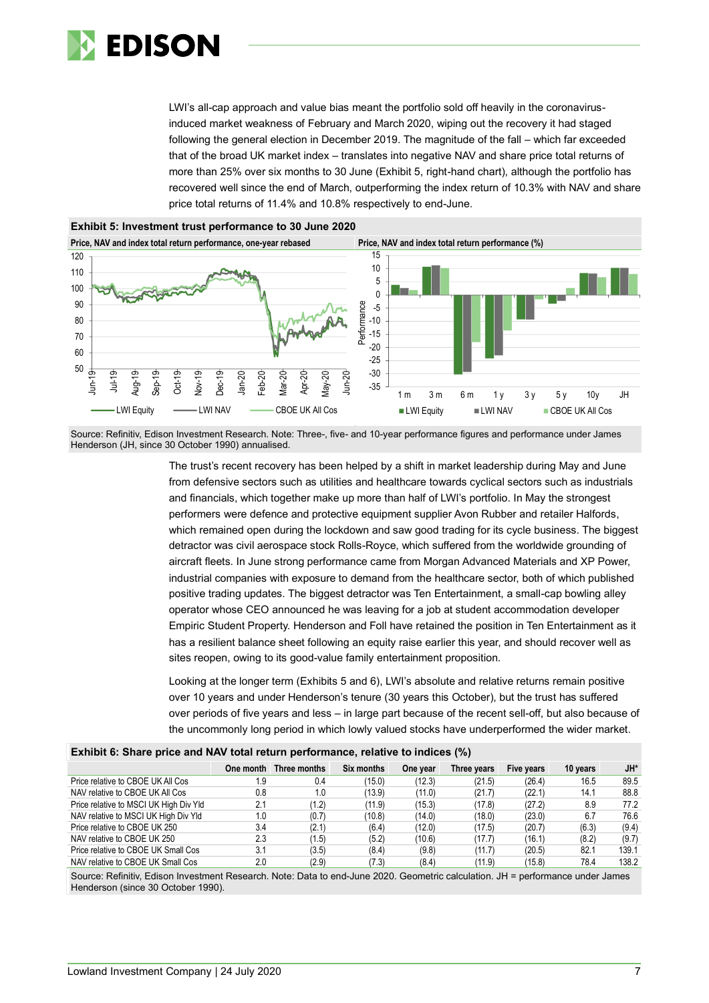

LWI's all-cap approach and value bias meant the portfolio sold off heavily in the coronavirusinduced market weakness of February and March 2020, wiping out the recovery it had staged following the general election in December 2019. The magnitude of the fall – which far exceeded that of the broad UK market index – translates into negative NAV and share price total returns of more than 25% over six months to 30 June (Exhibit 5, right-hand chart), although the portfolio has recovered well since the end of March, outperforming the index return of 10.3% with NAV and share price total returns of 11.4% and 10.8% respectively to end-June.



Source: Refinitiv, Edison Investment Research. Note: Three-, five- and 10-year performance figures and performance under James Henderson (JH, since 30 October 1990) annualised.

> The trust's recent recovery has been helped by a shift in market leadership during May and June from defensive sectors such as utilities and healthcare towards cyclical sectors such as industrials and financials, which together make up more than half of LWI's portfolio. In May the strongest performers were defence and protective equipment supplier Avon Rubber and retailer Halfords, which remained open during the lockdown and saw good trading for its cycle business. The biggest detractor was civil aerospace stock Rolls-Royce, which suffered from the worldwide grounding of aircraft fleets. In June strong performance came from Morgan Advanced Materials and XP Power, industrial companies with exposure to demand from the healthcare sector, both of which published positive trading updates. The biggest detractor was Ten Entertainment, a small-cap bowling alley operator whose CEO announced he was leaving for a job at student accommodation developer Empiric Student Property. Henderson and Foll have retained the position in Ten Entertainment as it has a resilient balance sheet following an equity raise earlier this year, and should recover well as sites reopen, owing to its good-value family entertainment proposition.

> Looking at the longer term (Exhibits 5 and 6), LWI's absolute and relative returns remain positive over 10 years and under Henderson's tenure (30 years this October), but the trust has suffered over periods of five years and less – in large part because of the recent sell-off, but also because of the uncommonly long period in which lowly valued stocks have underperformed the wider market.

| <b>EXHIBIT OF DIRED PHOD MIM HETE LOWE FOLDER POTTOFINATION, FORGETO TO HIMIDOO</b> (70)                                              |           |              |            |          |             |            |          |        |
|---------------------------------------------------------------------------------------------------------------------------------------|-----------|--------------|------------|----------|-------------|------------|----------|--------|
|                                                                                                                                       | One month | Three months | Six months | One year | Three years | Five years | 10 years | $JH^*$ |
| Price relative to CBOE UK All Cos                                                                                                     | ۱.9       | 0.4          | (15.0)     | (12.3)   | (21.5)      | (26.4)     | 16.5     | 89.5   |
| NAV relative to CBOE UK All Cos                                                                                                       | 0.8       | 1.0          | (13.9)     | (11.0)   | (21.7)      | (22.1)     | 14.1     | 88.8   |
| Price relative to MSCI UK High Div Yld                                                                                                | 2.1       | (1.2)        | (11.9)     | (15.3)   | (17.8)      | (27.2)     | 8.9      | 77.2   |
| NAV relative to MSCI UK High Div Yld                                                                                                  | 1.0       | (0.7)        | (10.8)     | (14.0)   | (18.0)      | (23.0)     | 6.7      | 76.6   |
| Price relative to CBOE UK 250                                                                                                         | 3.4       | (2.1)        | (6.4)      | (12.0)   | (17.5)      | (20.7)     | (6.3)    | (9.4)  |
| NAV relative to CBOE UK 250                                                                                                           | 2.3       | (1.5)        | (5.2)      | (10.6)   | (17.7)      | (16.1)     | (8.2)    | (9.7)  |
| Price relative to CBOE UK Small Cos                                                                                                   | 3.1       | (3.5)        | (8.4)      | (9.8)    | (11.7)      | (20.5)     | 82.1     | 139.1  |
| NAV relative to CBOE UK Small Cos                                                                                                     | 2.0       | (2.9)        | (7.3)      | (8.4)    | (11.9)      | (15.8)     | 78.4     | 138.2  |
| Course: Deficitive Edison Investment Descourts Nata: Data to and June 0000. Committee administration. Il – members on a curator Junea |           |              |            |          |             |            |          |        |

**Exhibit 6: Share price and NAV total return performance, relative to indices (%)**

Source: Refinitiv, Edison Investment Research. Note: Data to end-June 2020. Geometric calculation. JH = performance under James Henderson (since 30 October 1990).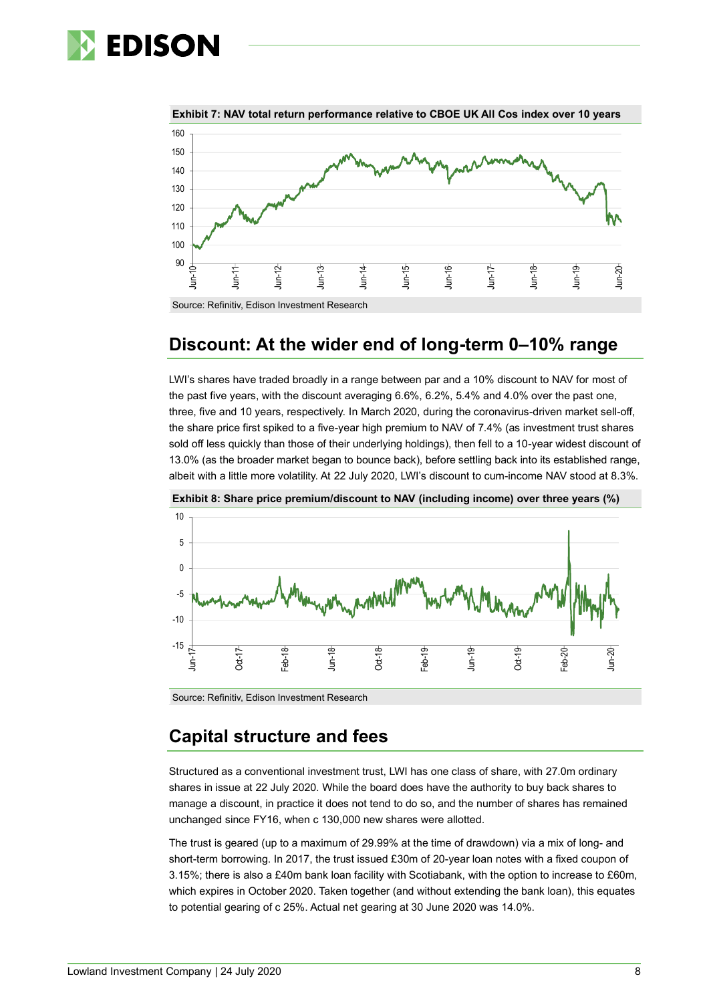



**Exhibit 7: NAV total return performance relative to CBOE UK All Cos index over 10 years**

Source: Refinitiv, Edison Investment Research

### **Discount: At the wider end of long-term 0–10% range**

LWI's shares have traded broadly in a range between par and a 10% discount to NAV for most of the past five years, with the discount averaging 6.6%, 6.2%, 5.4% and 4.0% over the past one, three, five and 10 years, respectively. In March 2020, during the coronavirus-driven market sell-off, the share price first spiked to a five-year high premium to NAV of 7.4% (as investment trust shares sold off less quickly than those of their underlying holdings), then fell to a 10-year widest discount of 13.0% (as the broader market began to bounce back), before settling back into its established range, albeit with a little more volatility. At 22 July 2020, LWI's discount to cum-income NAV stood at 8.3%.



**Exhibit 8: Share price premium/discount to NAV (including income) over three years (%)**

Source: Refinitiv, Edison Investment Research

### **Capital structure and fees**

Structured as a conventional investment trust, LWI has one class of share, with 27.0m ordinary shares in issue at 22 July 2020. While the board does have the authority to buy back shares to manage a discount, in practice it does not tend to do so, and the number of shares has remained unchanged since FY16, when c 130,000 new shares were allotted.

The trust is geared (up to a maximum of 29.99% at the time of drawdown) via a mix of long- and short-term borrowing. In 2017, the trust issued £30m of 20-year loan notes with a fixed coupon of 3.15%; there is also a £40m bank loan facility with Scotiabank, with the option to increase to £60m, which expires in October 2020. Taken together (and without extending the bank loan), this equates to potential gearing of c 25%. Actual net gearing at 30 June 2020 was 14.0%.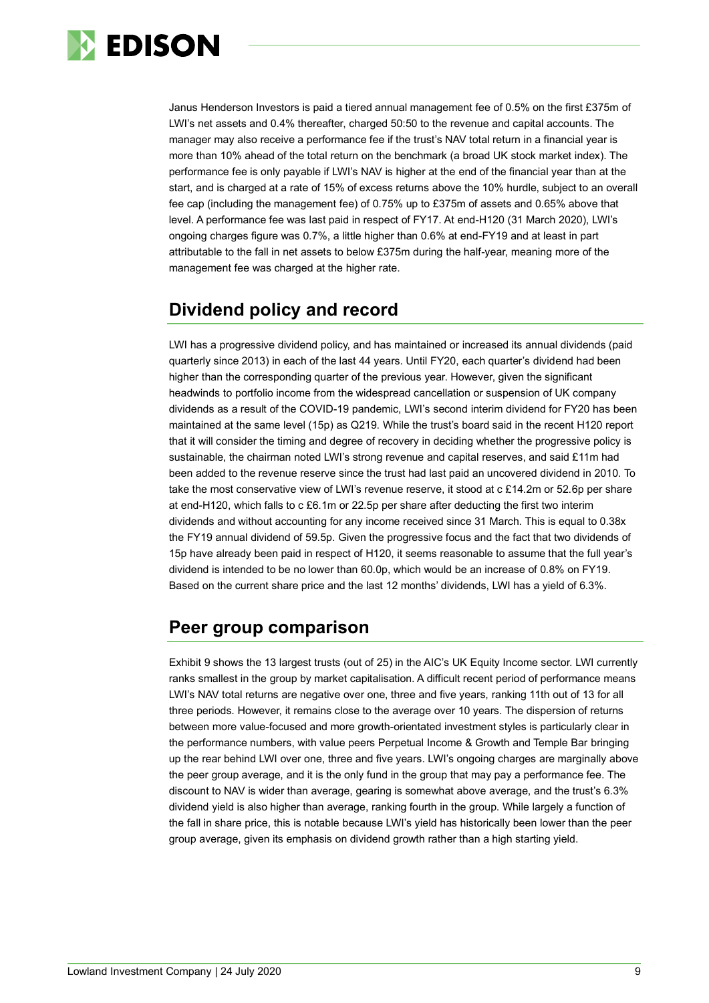

Janus Henderson Investors is paid a tiered annual management fee of 0.5% on the first £375m of LWI's net assets and 0.4% thereafter, charged 50:50 to the revenue and capital accounts. The manager may also receive a performance fee if the trust's NAV total return in a financial year is more than 10% ahead of the total return on the benchmark (a broad UK stock market index). The performance fee is only payable if LWI's NAV is higher at the end of the financial year than at the start, and is charged at a rate of 15% of excess returns above the 10% hurdle, subject to an overall fee cap (including the management fee) of 0.75% up to £375m of assets and 0.65% above that level. A performance fee was last paid in respect of FY17. At end-H120 (31 March 2020), LWI's ongoing charges figure was 0.7%, a little higher than 0.6% at end-FY19 and at least in part attributable to the fall in net assets to below £375m during the half-year, meaning more of the management fee was charged at the higher rate.

### **Dividend policy and record**

LWI has a progressive dividend policy, and has maintained or increased its annual dividends (paid quarterly since 2013) in each of the last 44 years. Until FY20, each quarter's dividend had been higher than the corresponding quarter of the previous year. However, given the significant headwinds to portfolio income from the widespread cancellation or suspension of UK company dividends as a result of the COVID-19 pandemic, LWI's second interim dividend for FY20 has been maintained at the same level (15p) as Q219. While the trust's board said in the recent H120 report that it will consider the timing and degree of recovery in deciding whether the progressive policy is sustainable, the chairman noted LWI's strong revenue and capital reserves, and said £11m had been added to the revenue reserve since the trust had last paid an uncovered dividend in 2010. To take the most conservative view of LWI's revenue reserve, it stood at c £14.2m or 52.6p per share at end-H120, which falls to c £6.1m or 22.5p per share after deducting the first two interim dividends and without accounting for any income received since 31 March. This is equal to 0.38x the FY19 annual dividend of 59.5p. Given the progressive focus and the fact that two dividends of 15p have already been paid in respect of H120, it seems reasonable to assume that the full year's dividend is intended to be no lower than 60.0p, which would be an increase of 0.8% on FY19. Based on the current share price and the last 12 months' dividends, LWI has a yield of 6.3%.

### **Peer group comparison**

Exhibit 9 shows the 13 largest trusts (out of 25) in the AIC's UK Equity Income sector. LWI currently ranks smallest in the group by market capitalisation. A difficult recent period of performance means LWI's NAV total returns are negative over one, three and five years, ranking 11th out of 13 for all three periods. However, it remains close to the average over 10 years. The dispersion of returns between more value-focused and more growth-orientated investment styles is particularly clear in the performance numbers, with value peers Perpetual Income & Growth and Temple Bar bringing up the rear behind LWI over one, three and five years. LWI's ongoing charges are marginally above the peer group average, and it is the only fund in the group that may pay a performance fee. The discount to NAV is wider than average, gearing is somewhat above average, and the trust's 6.3% dividend yield is also higher than average, ranking fourth in the group. While largely a function of the fall in share price, this is notable because LWI's yield has historically been lower than the peer group average, given its emphasis on dividend growth rather than a high starting yield.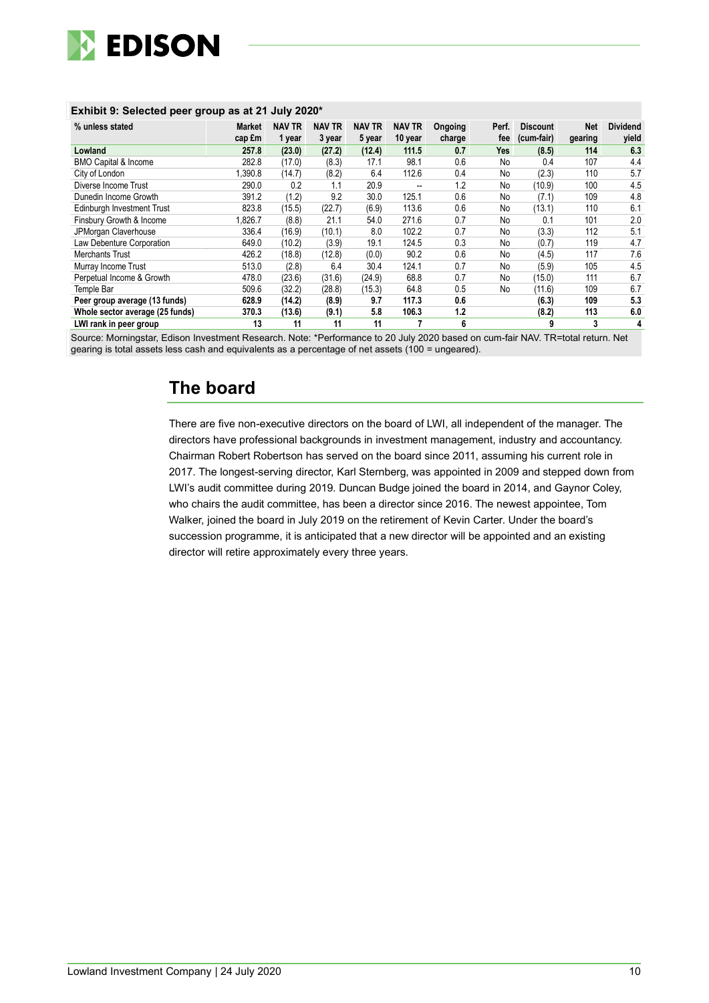

| % unless stated                 | <b>Market</b><br>cap £m | <b>NAV TR</b><br>1 year | <b>NAV TR</b><br>3 year | <b>NAV TR</b><br>5 year | <b>NAV TR</b><br>10 year | Ongoing<br>charge | Perf.<br>fee | <b>Discount</b><br>(cum-fair) | <b>Net</b><br>gearing | <b>Dividend</b><br>yield |
|---------------------------------|-------------------------|-------------------------|-------------------------|-------------------------|--------------------------|-------------------|--------------|-------------------------------|-----------------------|--------------------------|
| Lowland                         | 257.8                   | (23.0)                  | (27.2)                  | (12.4)                  | 111.5                    | 0.7               | Yes          | (8.5)                         | 114                   | 6.3                      |
| <b>BMO Capital &amp; Income</b> | 282.8                   | (17.0)                  | (8.3)                   | 17.1                    | 98.1                     | 0.6               | No           | 0.4                           | 107                   | 4.4                      |
| City of London                  | 1,390.8                 | (14.7)                  | (8.2)                   | 6.4                     | 112.6                    | 0.4               | No           | (2.3)                         | 110                   | 5.7                      |
| Diverse Income Trust            | 290.0                   | 0.2                     | 1.1                     | 20.9                    | --                       | 1.2               | No           | (10.9)                        | 100                   | 4.5                      |
| Dunedin Income Growth           | 391.2                   | (1.2)                   | 9.2                     | 30.0                    | 125.1                    | 0.6               | No           | (7.1)                         | 109                   | 4.8                      |
| Edinburgh Investment Trust      | 823.8                   | (15.5)                  | (22.7)                  | (6.9)                   | 113.6                    | 0.6               | No           | (13.1)                        | 110                   | 6.1                      |
| Finsbury Growth & Income        | 1,826.7                 | (8.8)                   | 21.1                    | 54.0                    | 271.6                    | 0.7               | No           | 0.1                           | 101                   | 2.0                      |
| JPMorgan Claverhouse            | 336.4                   | (16.9)                  | (10.1)                  | 8.0                     | 102.2                    | 0.7               | No           | (3.3)                         | 112                   | 5.1                      |
| Law Debenture Corporation       | 649.0                   | (10.2)                  | (3.9)                   | 19.1                    | 124.5                    | 0.3               | No           | (0.7)                         | 119                   | 4.7                      |
| Merchants Trust                 | 426.2                   | (18.8)                  | (12.8)                  | (0.0)                   | 90.2                     | 0.6               | No           | (4.5)                         | 117                   | 7.6                      |
| Murray Income Trust             | 513.0                   | (2.8)                   | 6.4                     | 30.4                    | 124.1                    | 0.7               | No           | (5.9)                         | 105                   | 4.5                      |
| Perpetual Income & Growth       | 478.0                   | (23.6)                  | (31.6)                  | (24.9)                  | 68.8                     | 0.7               | No           | (15.0)                        | 111                   | 6.7                      |
| Temple Bar                      | 509.6                   | (32.2)                  | (28.8)                  | (15.3)                  | 64.8                     | 0.5               | No           | (11.6)                        | 109                   | 6.7                      |
| Peer group average (13 funds)   | 628.9                   | (14.2)                  | (8.9)                   | 9.7                     | 117.3                    | 0.6               |              | (6.3)                         | 109                   | 5.3                      |
| Whole sector average (25 funds) | 370.3                   | (13.6)                  | (9.1)                   | 5.8                     | 106.3                    | 1.2               |              | (8.2)                         | 113                   | 6.0                      |
| LWI rank in peer group          | 13                      | 11                      | 11                      | 11                      |                          | 6                 |              | 9                             | 3                     | 4                        |

#### **Exhibit 9: Selected peer group as at 21 July 2020\***

Source: Morningstar, Edison Investment Research. Note: \*Performance to 20 July 2020 based on cum-fair NAV. TR=total return. Net gearing is total assets less cash and equivalents as a percentage of net assets (100 = ungeared).

### **The board**

There are five non-executive directors on the board of LWI, all independent of the manager. The directors have professional backgrounds in investment management, industry and accountancy. Chairman Robert Robertson has served on the board since 2011, assuming his current role in 2017. The longest-serving director, Karl Sternberg, was appointed in 2009 and stepped down from LWI's audit committee during 2019. Duncan Budge joined the board in 2014, and Gaynor Coley, who chairs the audit committee, has been a director since 2016. The newest appointee, Tom Walker, joined the board in July 2019 on the retirement of Kevin Carter. Under the board's succession programme, it is anticipated that a new director will be appointed and an existing director will retire approximately every three years.